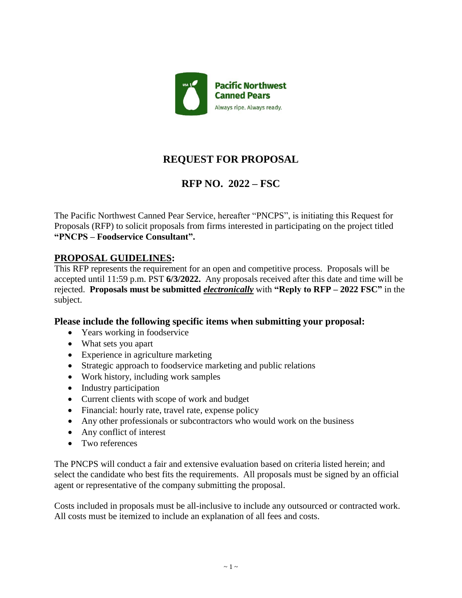

# **REQUEST FOR PROPOSAL**

## **RFP NO. 2022 – FSC**

The Pacific Northwest Canned Pear Service, hereafter "PNCPS", is initiating this Request for Proposals (RFP) to solicit proposals from firms interested in participating on the project titled **"PNCPS – Foodservice Consultant".**

### **PROPOSAL GUIDELINES:**

This RFP represents the requirement for an open and competitive process. Proposals will be accepted until 11:59 p.m. PST **6/3/2022.** Any proposals received after this date and time will be rejected. **Proposals must be submitted** *electronically* with **"Reply to RFP – 2022 FSC"** in the subject.

#### **Please include the following specific items when submitting your proposal:**

- Years working in foodservice
- What sets you apart
- Experience in agriculture marketing
- Strategic approach to foodservice marketing and public relations
- Work history, including work samples
- Industry participation
- Current clients with scope of work and budget
- Financial: hourly rate, travel rate, expense policy
- Any other professionals or subcontractors who would work on the business
- Any conflict of interest
- Two references

The PNCPS will conduct a fair and extensive evaluation based on criteria listed herein; and select the candidate who best fits the requirements. All proposals must be signed by an official agent or representative of the company submitting the proposal.

Costs included in proposals must be all-inclusive to include any outsourced or contracted work. All costs must be itemized to include an explanation of all fees and costs.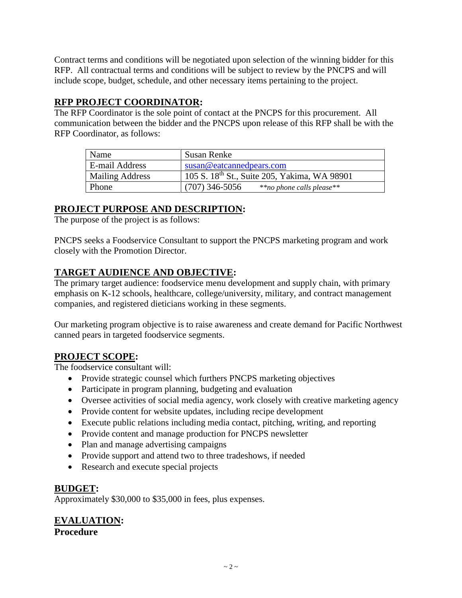Contract terms and conditions will be negotiated upon selection of the winning bidder for this RFP. All contractual terms and conditions will be subject to review by the PNCPS and will include scope, budget, schedule, and other necessary items pertaining to the project.

### **RFP PROJECT COORDINATOR:**

The RFP Coordinator is the sole point of contact at the PNCPS for this procurement. All communication between the bidder and the PNCPS upon release of this RFP shall be with the RFP Coordinator, as follows:

| Name                   | Susan Renke                                              |
|------------------------|----------------------------------------------------------|
| E-mail Address         | susan@eatcannedpears.com                                 |
| <b>Mailing Address</b> | 105 S. 18 <sup>th</sup> St., Suite 205, Yakima, WA 98901 |
| Phone                  | $(707)$ 346-5056<br>**no phone calls please**            |

## **PROJECT PURPOSE AND DESCRIPTION:**

The purpose of the project is as follows:

PNCPS seeks a Foodservice Consultant to support the PNCPS marketing program and work closely with the Promotion Director.

### **TARGET AUDIENCE AND OBJECTIVE:**

The primary target audience: foodservice menu development and supply chain, with primary emphasis on K-12 schools, healthcare, college/university, military, and contract management companies, and registered dieticians working in these segments.

Our marketing program objective is to raise awareness and create demand for Pacific Northwest canned pears in targeted foodservice segments.

### **PROJECT SCOPE:**

The foodservice consultant will:

- Provide strategic counsel which furthers PNCPS marketing objectives
- Participate in program planning, budgeting and evaluation
- Oversee activities of social media agency, work closely with creative marketing agency
- Provide content for website updates, including recipe development
- Execute public relations including media contact, pitching, writing, and reporting
- Provide content and manage production for PNCPS newsletter
- Plan and manage advertising campaigns
- Provide support and attend two to three tradeshows, if needed
- Research and execute special projects

#### **BUDGET:**

Approximately \$30,000 to \$35,000 in fees, plus expenses.

**EVALUATION: Procedure**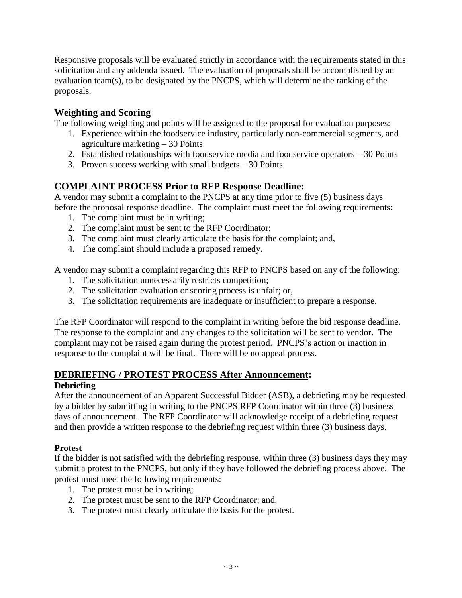Responsive proposals will be evaluated strictly in accordance with the requirements stated in this solicitation and any addenda issued. The evaluation of proposals shall be accomplished by an evaluation team(s), to be designated by the PNCPS, which will determine the ranking of the proposals.

#### **Weighting and Scoring**

The following weighting and points will be assigned to the proposal for evaluation purposes:

- 1. Experience within the foodservice industry, particularly non-commercial segments, and agriculture marketing – 30 Points
- 2. Established relationships with foodservice media and foodservice operators 30 Points
- 3. Proven success working with small budgets  $-30$  Points

#### **COMPLAINT PROCESS Prior to RFP Response Deadline:**

A vendor may submit a complaint to the PNCPS at any time prior to five (5) business days before the proposal response deadline. The complaint must meet the following requirements:

- 1. The complaint must be in writing;
- 2. The complaint must be sent to the RFP Coordinator;
- 3. The complaint must clearly articulate the basis for the complaint; and,
- 4. The complaint should include a proposed remedy.

A vendor may submit a complaint regarding this RFP to PNCPS based on any of the following:

- 1. The solicitation unnecessarily restricts competition;
- 2. The solicitation evaluation or scoring process is unfair; or,
- 3. The solicitation requirements are inadequate or insufficient to prepare a response.

The RFP Coordinator will respond to the complaint in writing before the bid response deadline. The response to the complaint and any changes to the solicitation will be sent to vendor. The complaint may not be raised again during the protest period. PNCPS's action or inaction in response to the complaint will be final. There will be no appeal process.

#### **DEBRIEFING / PROTEST PROCESS After Announcement:**

#### **Debriefing**

After the announcement of an Apparent Successful Bidder (ASB), a debriefing may be requested by a bidder by submitting in writing to the PNCPS RFP Coordinator within three (3) business days of announcement. The RFP Coordinator will acknowledge receipt of a debriefing request and then provide a written response to the debriefing request within three (3) business days.

#### **Protest**

If the bidder is not satisfied with the debriefing response, within three (3) business days they may submit a protest to the PNCPS, but only if they have followed the debriefing process above. The protest must meet the following requirements:

- 1. The protest must be in writing;
- 2. The protest must be sent to the RFP Coordinator; and,
- 3. The protest must clearly articulate the basis for the protest.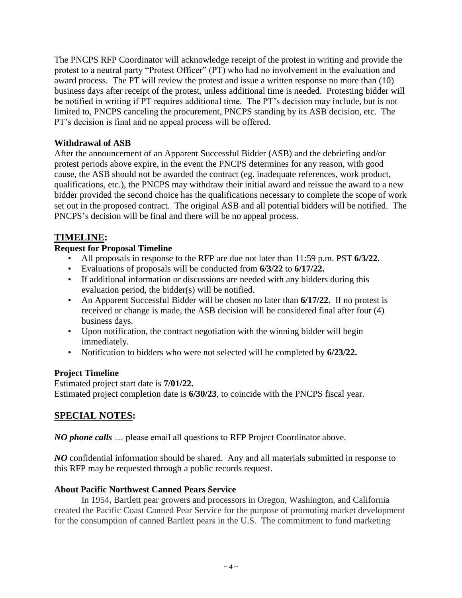The PNCPS RFP Coordinator will acknowledge receipt of the protest in writing and provide the protest to a neutral party "Protest Officer" (PT) who had no involvement in the evaluation and award process. The PT will review the protest and issue a written response no more than (10) business days after receipt of the protest, unless additional time is needed. Protesting bidder will be notified in writing if PT requires additional time. The PT's decision may include, but is not limited to, PNCPS canceling the procurement, PNCPS standing by its ASB decision, etc. The PT's decision is final and no appeal process will be offered.

#### **Withdrawal of ASB**

After the announcement of an Apparent Successful Bidder (ASB) and the debriefing and/or protest periods above expire, in the event the PNCPS determines for any reason, with good cause, the ASB should not be awarded the contract (eg. inadequate references, work product, qualifications, etc.), the PNCPS may withdraw their initial award and reissue the award to a new bidder provided the second choice has the qualifications necessary to complete the scope of work set out in the proposed contract. The original ASB and all potential bidders will be notified. The PNCPS's decision will be final and there will be no appeal process.

### **TIMELINE:**

#### **Request for Proposal Timeline**

- All proposals in response to the RFP are due not later than 11:59 p.m. PST **6/3/22.**
- Evaluations of proposals will be conducted from **6/3/22** to **6/17/22.**
- If additional information or discussions are needed with any bidders during this evaluation period, the bidder(s) will be notified.
- An Apparent Successful Bidder will be chosen no later than **6/17/22.** If no protest is received or change is made, the ASB decision will be considered final after four (4) business days.
- Upon notification, the contract negotiation with the winning bidder will begin immediately.
- Notification to bidders who were not selected will be completed by **6/23/22.**

#### **Project Timeline**

Estimated project start date is **7/01/22.** Estimated project completion date is **6/30/23**, to coincide with the PNCPS fiscal year.

### **SPECIAL NOTES:**

*NO phone calls* … please email all questions to RFP Project Coordinator above.

*NO* confidential information should be shared. Any and all materials submitted in response to this RFP may be requested through a public records request.

#### **About Pacific Northwest Canned Pears Service**

In 1954, Bartlett pear growers and processors in Oregon, Washington, and California created the Pacific Coast Canned Pear Service for the purpose of promoting market development for the consumption of canned Bartlett pears in the U.S. The commitment to fund marketing